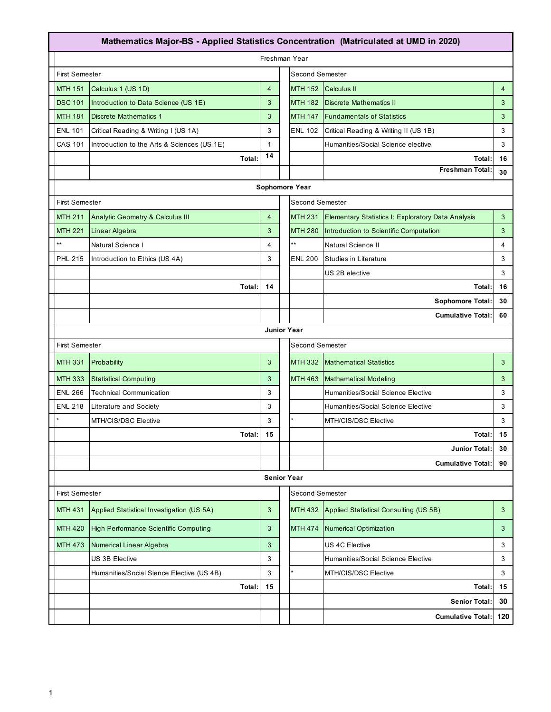| Mathematics Major-BS - Applied Statistics Concentration (Matriculated at UMD in 2020) |                                                 |                                             |                |  |                        |                                                    |                |  |
|---------------------------------------------------------------------------------------|-------------------------------------------------|---------------------------------------------|----------------|--|------------------------|----------------------------------------------------|----------------|--|
| Freshman Year                                                                         |                                                 |                                             |                |  |                        |                                                    |                |  |
|                                                                                       | <b>First Semester</b>                           |                                             |                |  | <b>Second Semester</b> |                                                    |                |  |
|                                                                                       | <b>MTH 151</b>                                  | Calculus 1 (US 1D)                          | $\overline{4}$ |  | <b>MTH 152</b>         | <b>Calculus II</b>                                 | $\overline{4}$ |  |
|                                                                                       | <b>DSC 101</b>                                  | Introduction to Data Science (US 1E)        | 3              |  | <b>MTH 182</b>         | <b>Discrete Mathematics II</b>                     | 3              |  |
|                                                                                       | <b>MTH 181</b>                                  | <b>Discrete Mathematics 1</b>               | 3              |  | <b>MTH 147</b>         | <b>Fundamentals of Statistics</b>                  | 3              |  |
|                                                                                       | <b>ENL 101</b>                                  | Critical Reading & Writing I (US 1A)        | 3              |  | <b>ENL 102</b>         | Critical Reading & Writing II (US 1B)              | 3              |  |
|                                                                                       | CAS 101                                         | Introduction to the Arts & Sciences (US 1E) | $\mathbf{1}$   |  |                        | Humanities/Social Science elective                 | 3              |  |
|                                                                                       |                                                 | Total:                                      | 14             |  |                        | Total:                                             | 16             |  |
|                                                                                       |                                                 |                                             |                |  |                        | <b>Freshman Total:</b>                             | 30             |  |
|                                                                                       | Sophomore Year                                  |                                             |                |  |                        |                                                    |                |  |
|                                                                                       | <b>Second Semester</b><br><b>First Semester</b> |                                             |                |  |                        |                                                    |                |  |
|                                                                                       | <b>MTH 211</b>                                  | <b>Analytic Geometry &amp; Calculus III</b> | $\overline{4}$ |  | <b>MTH 231</b>         | Elementary Statistics I: Exploratory Data Analysis | 3              |  |
|                                                                                       | <b>MTH 221</b>                                  | Linear Algebra                              | 3              |  | <b>MTH 280</b>         | Introduction to Scientific Computation             | 3              |  |
|                                                                                       | $^{\star\star}$                                 | Natural Science I                           | $\overline{4}$ |  | **                     | Natural Science II                                 | 4              |  |
|                                                                                       | <b>PHL 215</b>                                  | Introduction to Ethics (US 4A)              | 3              |  | <b>ENL 200</b>         | Studies in Literature                              | 3              |  |
|                                                                                       |                                                 |                                             |                |  |                        | US 2B elective                                     | 3              |  |
|                                                                                       |                                                 | Total:                                      | 14             |  |                        | Total:                                             | 16             |  |
|                                                                                       |                                                 |                                             |                |  |                        | Sophomore Total:                                   | 30             |  |
|                                                                                       |                                                 |                                             |                |  |                        | <b>Cumulative Total:</b>                           | 60             |  |
|                                                                                       | <b>Junior Year</b>                              |                                             |                |  |                        |                                                    |                |  |
| <b>Second Semester</b><br><b>First Semester</b>                                       |                                                 |                                             |                |  |                        |                                                    |                |  |
|                                                                                       | <b>MTH 331</b>                                  | Probability                                 | 3              |  | <b>MTH 332</b>         | <b>Mathematical Statistics</b>                     | 3              |  |
|                                                                                       | <b>MTH 333</b>                                  | <b>Statistical Computing</b>                | 3              |  | <b>MTH 463</b>         | <b>Mathematical Modeling</b>                       | 3              |  |
|                                                                                       | <b>ENL 266</b>                                  | <b>Technical Communication</b>              | 3              |  |                        | Humanities/Social Science Elective                 | 3              |  |
|                                                                                       | <b>ENL 218</b>                                  | Literature and Society                      | 3              |  |                        | Humanities/Social Science Elective                 | 3              |  |
|                                                                                       |                                                 | MTH/CIS/DSC Elective                        | 3              |  |                        | MTH/CIS/DSC Elective                               | 3              |  |
|                                                                                       |                                                 | Total:                                      | 15             |  |                        | Total:                                             | 15             |  |
|                                                                                       |                                                 |                                             |                |  |                        | Junior Total:                                      | 30             |  |
|                                                                                       |                                                 |                                             |                |  |                        | <b>Cumulative Total:</b>                           | 90             |  |
|                                                                                       | <b>Senior Year</b>                              |                                             |                |  |                        |                                                    |                |  |
| <b>Second Semester</b><br><b>First Semester</b>                                       |                                                 |                                             |                |  |                        |                                                    |                |  |
|                                                                                       | <b>MTH 431</b>                                  | Applied Statistical Investigation (US 5A)   | 3              |  | <b>MTH 432</b>         | Applied Statistical Consulting (US 5B)             | 3              |  |
|                                                                                       | <b>MTH 420</b>                                  | High Performance Scientific Computing       | 3              |  | <b>MTH 474</b>         | <b>Numerical Optimization</b>                      | 3              |  |
|                                                                                       | <b>MTH 473</b>                                  | Numerical Linear Algebra                    | 3              |  |                        | US 4C Elective                                     | 3              |  |
|                                                                                       |                                                 | US 3B Elective                              | 3              |  |                        | Humanities/Social Science Elective                 | 3              |  |
|                                                                                       |                                                 | Humanities/Social Sience Elective (US 4B)   | 3              |  | ÷                      | MTH/CIS/DSC Elective                               | 3              |  |
|                                                                                       |                                                 | Total:                                      | 15             |  |                        | Total:                                             | 15             |  |
|                                                                                       |                                                 |                                             |                |  |                        | <b>Senior Total:</b>                               | 30             |  |
|                                                                                       |                                                 |                                             |                |  |                        | <b>Cumulative Total:</b>                           | 120            |  |